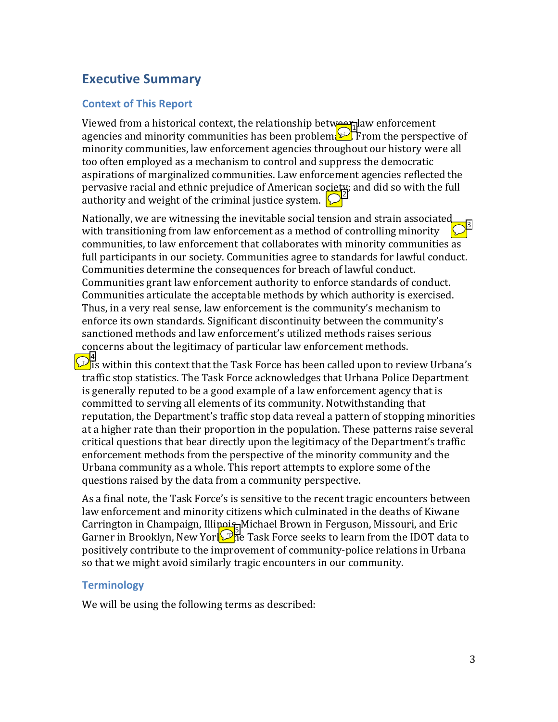### **Executive Summary**

#### **Context of This Report**

Viewed from a historical context, the relationship between aw enforcement agencies and minority communities has been problem $\mathbb{E}$  From the perspective of minority communities, law enforcement agencies throughout our history were all too often employed as a mechanism to control and suppress the democratic aspirations of marginalized communities. Law enforcement agencies reflected the pervasive racial and ethnic prejudice of American society; and did so with the full authority and weight of the criminal justice system.  $\bigcirc$ 

Nationally, we are witnessing the inevitable social tension and strain associated with transitioning from law enforcement as a method of controlling minority communities, to law enforcement that collaborates with minority communities as full participants in our society. Communities agree to standards for lawful conduct. Communities determine the consequences for breach of lawful conduct. Communities grant law enforcement authority to enforce standards of conduct. Communities articulate the acceptable methods by which authority is exercised. Thus, in a very real sense, law enforcement is the community's mechanism to enforce its own standards. Significant discontinuity between the community's sanctioned methods and law enforcement's utilized methods raises serious concerns about the legitimacy of particular law enforcement methods. 3

 $\mathbb{P}^4$  is within this context that the Task Force has been called upon to review Urbana's traffic stop statistics. The Task Force acknowledges that Urbana Police Department is generally reputed to be a good example of a law enforcement agency that is committed to serving all elements of its community. Notwithstanding that reputation, the Department's traffic stop data reveal a pattern of stopping minorities at a higher rate than their proportion in the population. These patterns raise several critical questions that bear directly upon the legitimacy of the Department's traffic enforcement methods from the perspective of the minority community and the Urbana community as a whole. This report attempts to explore some of the questions raised by the data from a community perspective.

As a final note, the Task Force's is sensitive to the recent tragic encounters between law enforcement and minority citizens which culminated in the deaths of Kiwane Carrington in Champaign, Illinois, Michael Brown in Ferguson, Missouri, and Eric Garrington in Ghampaign, managemented Brown in Fergason, missouri, and Brite<br>Garner in Brooklyn, New York. The Task Force seeks to learn from the IDOT data to positively contribute to the improvement of community-police relations in Urbana so that we might avoid similarly tragic encounters in our community.

#### **Terminology**

We will be using the following terms as described: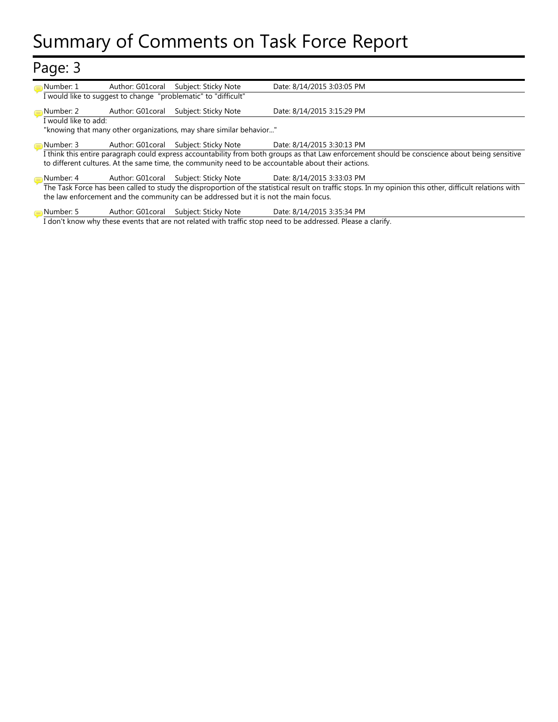# Summary of Comments on Task Force Report

| Page: 3                                                             |                                                                                                              |                                                                                      |                                                                                                                                                          |  |  |
|---------------------------------------------------------------------|--------------------------------------------------------------------------------------------------------------|--------------------------------------------------------------------------------------|----------------------------------------------------------------------------------------------------------------------------------------------------------|--|--|
| Number: 1                                                           | Author: G01coral                                                                                             | Subject: Sticky Note                                                                 | Date: 8/14/2015 3:03:05 PM                                                                                                                               |  |  |
|                                                                     |                                                                                                              | I would like to suggest to change "problematic" to "difficult"                       |                                                                                                                                                          |  |  |
| Number: 2                                                           | Author: G01coral                                                                                             | Subject: Sticky Note                                                                 | Date: 8/14/2015 3:15:29 PM                                                                                                                               |  |  |
| I would like to add:                                                |                                                                                                              |                                                                                      |                                                                                                                                                          |  |  |
| "knowing that many other organizations, may share similar behavior" |                                                                                                              |                                                                                      |                                                                                                                                                          |  |  |
| Number: 3                                                           | Author: G01coral                                                                                             |                                                                                      | Subject: Sticky Note Date: 8/14/2015 3:30:13 PM                                                                                                          |  |  |
|                                                                     |                                                                                                              |                                                                                      | I think this entire paragraph could express accountability from both groups as that Law enforcement should be conscience about being sensitive           |  |  |
|                                                                     |                                                                                                              |                                                                                      | to different cultures. At the same time, the community need to be accountable about their actions.                                                       |  |  |
| Number: 4                                                           |                                                                                                              | Author: G01coral Subject: Sticky Note Date: 8/14/2015 3:33:03 PM                     |                                                                                                                                                          |  |  |
|                                                                     |                                                                                                              |                                                                                      | The Task Force has been called to study the disproportion of the statistical result on traffic stops. In my opinion this other, difficult relations with |  |  |
|                                                                     |                                                                                                              | the law enforcement and the community can be addressed but it is not the main focus. |                                                                                                                                                          |  |  |
| Number: 5                                                           | Author: G01coral                                                                                             | Subject: Sticky Note                                                                 | Date: 8/14/2015 3:35:34 PM                                                                                                                               |  |  |
|                                                                     | I don't know why these events that are not related with traffic stop need to be addressed. Please a clarify. |                                                                                      |                                                                                                                                                          |  |  |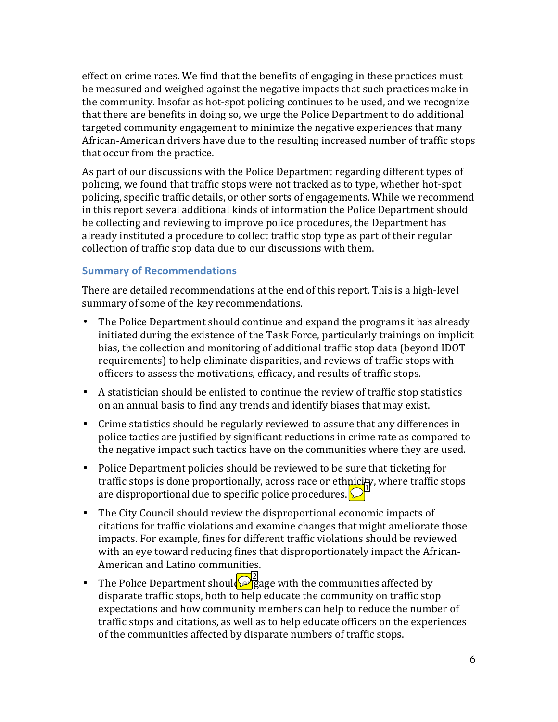effect on crime rates. We find that the benefits of engaging in these practices must be measured and weighed against the negative impacts that such practices make in the community. Insofar as hot-spot policing continues to be used, and we recognize that there are benefits in doing so, we urge the Police Department to do additional targeted community engagement to minimize the negative experiences that many African-American drivers have due to the resulting increased number of traffic stops that occur from the practice.

As part of our discussions with the Police Department regarding different types of policing, we found that traffic stops were not tracked as to type, whether hot-spot policing, specific traffic details, or other sorts of engagements. While we recommend in this report several additional kinds of information the Police Department should be collecting and reviewing to improve police procedures, the Department has already instituted a procedure to collect traffic stop type as part of their regular collection of traffic stop data due to our discussions with them.

#### **Summary of Recommendations**

There are detailed recommendations at the end of this report. This is a high-level summary of some of the key recommendations.

- The Police Department should continue and expand the programs it has already initiated during the existence of the Task Force, particularly trainings on implicit bias, the collection and monitoring of additional traffic stop data (beyond IDOT requirements) to help eliminate disparities, and reviews of traffic stops with officers to assess the motivations, efficacy, and results of traffic stops.
- A statistician should be enlisted to continue the review of traffic stop statistics on an annual basis to find any trends and identify biases that may exist.
- Crime statistics should be regularly reviewed to assure that any differences in police tactics are justified by significant reductions in crime rate as compared to the negative impact such tactics have on the communities where they are used.
- Police Department policies should be reviewed to be sure that ticketing for traffic stops is done proportionally, across race or ethnicity, where traffic stops are disproportional due to specific police procedures.  $\bigcirc$
- The City Council should review the disproportional economic impacts of citations for traffic violations and examine changes that might ameliorate those impacts. For example, fines for different traffic violations should be reviewed with an eye toward reducing fines that disproportionately impact the African-American and Latino communities. The City Council should review the disproportional economic imp<br>citations for traffic violations and examine changes that might am<br>impacts. For example, fines for different traffic violations should b<br>with an eye toward r
- The Police Department should  $\sqrt{\frac{1}{2}}$  age with the communities affected by disparate traffic stops, both to help educate the community on traffic stop expectations and how community members can help to reduce the number of traffic stops and citations, as well as to help educate officers on the experiences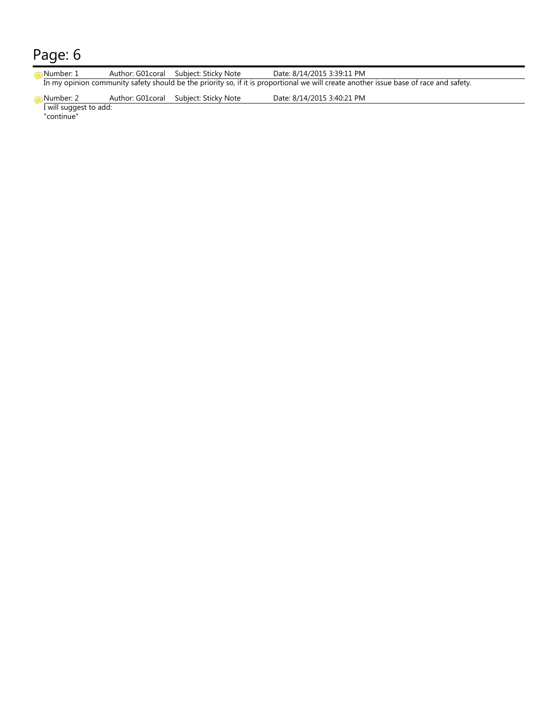### Page: 6

| Number: 1            | Author: G01coral Subject: Sticky Note  | Date: 8/14/2015 3:39:11 PM                                                                                                            |
|----------------------|----------------------------------------|---------------------------------------------------------------------------------------------------------------------------------------|
|                      |                                        | In my opinion community safety should be the priority so, if it is proportional we will create another issue base of race and safety. |
| Number: 2 .<br>_ _ _ | Author: G01 coral Subject: Sticky Note | Date: 8/14/2015 3:40:21 PM                                                                                                            |

I will suggest to add: "continue"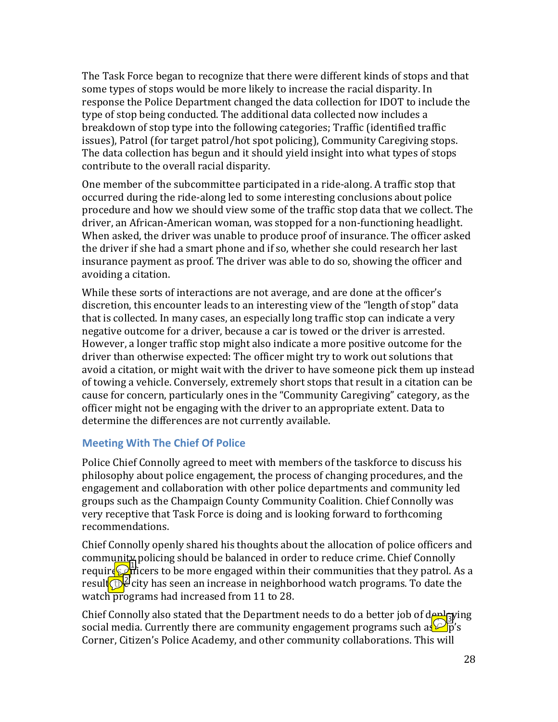The Task Force began to recognize that there were different kinds of stops and that some types of stops would be more likely to increase the racial disparity. In response the Police Department changed the data collection for IDOT to include the type of stop being conducted. The additional data collected now includes a breakdown of stop type into the following categories; Traffic (identified traffic issues), Patrol (for target patrol/hot spot policing), Community Caregiving stops. The data collection has begun and it should yield insight into what types of stops contribute to the overall racial disparity.

One member of the subcommittee participated in a ride-along. A traffic stop that occurred during the ride-along led to some interesting conclusions about police procedure and how we should view some of the traffic stop data that we collect. The driver, an African-American woman, was stopped for a non-functioning headlight. When asked, the driver was unable to produce proof of insurance. The officer asked the driver if she had a smart phone and if so, whether she could research her last insurance payment as proof. The driver was able to do so, showing the officer and avoiding a citation.

While these sorts of interactions are not average, and are done at the officer's discretion, this encounter leads to an interesting view of the "length of stop" data that is collected. In many cases, an especially long traffic stop can indicate a very negative outcome for a driver, because a car is towed or the driver is arrested. However, a longer traffic stop might also indicate a more positive outcome for the driver than otherwise expected: The officer might try to work out solutions that avoid a citation, or might wait with the driver to have someone pick them up instead of towing a vehicle. Conversely, extremely short stops that result in a citation can be cause for concern, particularly ones in the "Community Caregiving" category, as the officer might not be engaging with the driver to an appropriate extent. Data to determine the differences are not currently available.

#### **Meeting With The Chief Of Police**

Police Chief Connolly agreed to meet with members of the taskforce to discuss his philosophy about police engagement, the process of changing procedures, and the engagement and collaboration with other police departments and community led groups such as the Champaign County Community Coalition. Chief Connolly was very receptive that Task Force is doing and is looking forward to forthcoming recommendations.

Chief Connolly openly shared his thoughts about the allocation of police officers and community policing should be balanced in order to reduce crime. Chief Connolly require  $\mathbb{Q}^{\text{all}}$  city has seen an increase in neighborhood watch programs. To date the watch programs had increased from 11 to 28.<br>Chief Connolly also stated that the Department needs to do a better job of deplaying result  $\theta$  city has seen an increase in neighborhood watch programs. To date the watch programs had increased from 11 to 28.

Chief Connolly also stated that the Department needs to do a better job of deploying social media. Currently there are community engagement programs such as  $\mathbb{Z}_p^s$ 's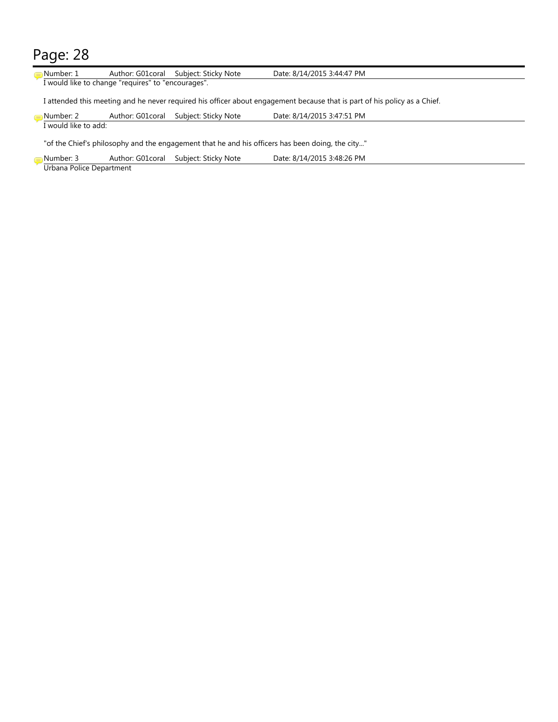## Page: 28

| Number: 1                                                                                        |                                                    | Author: G01 coral Subject: Sticky Note | Date: 8/14/2015 3:44:47 PM                                                                                                |  |  |  |  |
|--------------------------------------------------------------------------------------------------|----------------------------------------------------|----------------------------------------|---------------------------------------------------------------------------------------------------------------------------|--|--|--|--|
|                                                                                                  | I would like to change "requires" to "encourages". |                                        |                                                                                                                           |  |  |  |  |
|                                                                                                  |                                                    |                                        | I attended this meeting and he never required his officer about engagement because that is part of his policy as a Chief. |  |  |  |  |
| Number: 2                                                                                        | Author: G01coral                                   | Subject: Sticky Note                   | Date: 8/14/2015 3:47:51 PM                                                                                                |  |  |  |  |
| I would like to add:                                                                             |                                                    |                                        |                                                                                                                           |  |  |  |  |
| "of the Chief's philosophy and the engagement that he and his officers has been doing, the city" |                                                    |                                        |                                                                                                                           |  |  |  |  |
| Number: 3                                                                                        | Author: G01coral                                   | Subject: Sticky Note                   | Date: 8/14/2015 3:48:26 PM                                                                                                |  |  |  |  |
| Urbana Police Department                                                                         |                                                    |                                        |                                                                                                                           |  |  |  |  |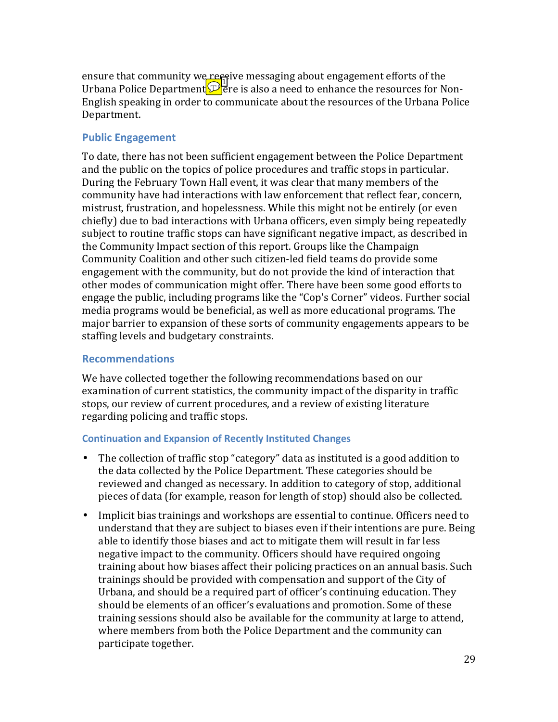ensure that community we receptive messaging about engagement efforts of the Urbana Police Department $\mathcal{P}$  ere is also a need to enhance the resources for Non-English speaking in order to communicate about the resources of the Urbana Police Department.

#### **Public Engagement**

To date, there has not been sufficient engagement between the Police Department and the public on the topics of police procedures and traffic stops in particular. During the February Town Hall event, it was clear that many members of the community have had interactions with law enforcement that reflect fear, concern, mistrust, frustration, and hopelessness. While this might not be entirely (or even chiefly) due to bad interactions with Urbana officers, even simply being repeatedly subject to routine traffic stops can have significant negative impact, as described in the Community Impact section of this report. Groups like the Champaign Community Coalition and other such citizen-led field teams do provide some engagement with the community, but do not provide the kind of interaction that other modes of communication might offer. There have been some good efforts to engage the public, including programs like the "Cop's Corner" videos. Further social media programs would be beneficial, as well as more educational programs. The major barrier to expansion of these sorts of community engagements appears to be staffing levels and budgetary constraints.

#### **Recommendations**

We have collected together the following recommendations based on our examination of current statistics, the community impact of the disparity in traffic stops, our review of current procedures, and a review of existing literature regarding policing and traffic stops.

#### **Continuation and Expansion of Recently Instituted Changes**

- The collection of traffic stop "category" data as instituted is a good addition to the data collected by the Police Department. These categories should be reviewed and changed as necessary. In addition to category of stop, additional pieces of data (for example, reason for length of stop) should also be collected.
- Implicit bias trainings and workshops are essential to continue. Officers need to understand that they are subject to biases even if their intentions are pure. Being able to identify those biases and act to mitigate them will result in far less negative impact to the community. Officers should have required ongoing training about how biases affect their policing practices on an annual basis. Such trainings should be provided with compensation and support of the City of Urbana, and should be a required part of officer's continuing education. They should be elements of an officer's evaluations and promotion. Some of these training sessions should also be available for the community at large to attend, where members from both the Police Department and the community can participate together.